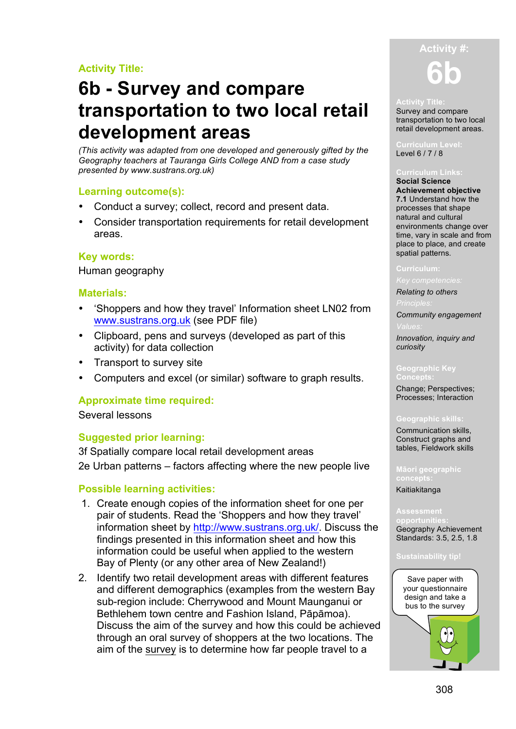## **Activity Title:**

# **6b - Survey and compare transportation to two local retail development areas**

*(This activity was adapted from one developed and generously gifted by the Geography teachers at Tauranga Girls College AND from a case study presented by www.sustrans.org.uk)*

## **Learning outcome(s):**

- Conduct a survey; collect, record and present data.
- Consider transportation requirements for retail development areas.

## **Key words:**

Human geography

## **Materials:**

- 'Shoppers and how they travel' Information sheet LN02 from www.sustrans.org.uk (see PDF file)
- Clipboard, pens and surveys (developed as part of this activity) for data collection
- Transport to survey site
- Computers and excel (or similar) software to graph results.

## **Approximate time required:**

## Several lessons

## **Suggested prior learning:**

3f Spatially compare local retail development areas 2e Urban patterns – factors affecting where the new people live

## **Possible learning activities:**

- 1. Create enough copies of the information sheet for one per pair of students. Read the 'Shoppers and how they travel' information sheet by http://www.sustrans.org.uk/. Discuss the findings presented in this information sheet and how this information could be useful when applied to the western Bay of Plenty (or any other area of New Zealand!)
- 2. Identify two retail development areas with different features and different demographics (examples from the western Bay sub-region include: Cherrywood and Mount Maunganui or Bethlehem town centre and Fashion Island, Pāpāmoa). Discuss the aim of the survey and how this could be achieved through an oral survey of shoppers at the two locations. The aim of the survey is to determine how far people travel to a



#### **Activity Title:**

Survey and compare transportation to two local retail development areas.

## Level 6 / 7 / 8

### **Curriculum Links:**

**Social Science Achievement objective 7.1** Understand how the processes that shape natural and cultural environments change over time, vary in scale and from place to place, and create spatial patterns.

*Relating to others*

*Community engagement*

*Innovation, inquiry and curiosity* 

## **Geographic Key**

Change; Perspectives; Processes; Interaction

#### **Geographic skills:**

Communication skills, Construct graphs and tables, Fieldwork skills

**Māori geographic concepts:** Kaitiakitanga

**opportunities:** Geography Achievement Standards: 3.5, 2.5, 1.8

**Sustainability tip!**